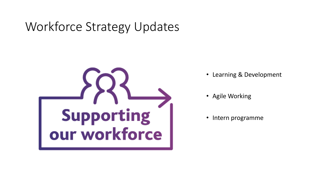## Workforce Strategy Updates



- Learning & Development
- Agile Working
- Intern programme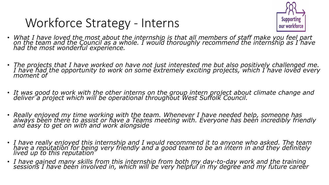## Workforce Strategy - Interns



- *What I have loved the most about the internship is that all members of staff make you feel part on the team and the Council as a whole. I would thoroughly recommend the internship as I have had the most wonderful experience.*
- *The projects that I have worked on have not just interested me but also positively challenged me. I have had the opportunity to work on some extremely exciting projects, which I have loved every moment of*
- *It was good to work with the other interns on the group intern project about climate change and deliver a project which will be operational throughout West Suffolk Council.*
- *Really enjoyed my time working with the team. Whenever I have needed help, someone has always been there to assist or have a Teams meeting with. Everyone has been incredibly friendly and easy to get on with and work alongside*
- *I have really enjoyed this internship and I would recommend it to anyone who asked. The team have a reputation for being very friendly and a good team to be an intern in and they definitely lived up to this reputation*
- *I have gained many skills from this internship from both my day-to-day work and the training sessions I have been involved in, which will be very helpful in my degree and my future career*